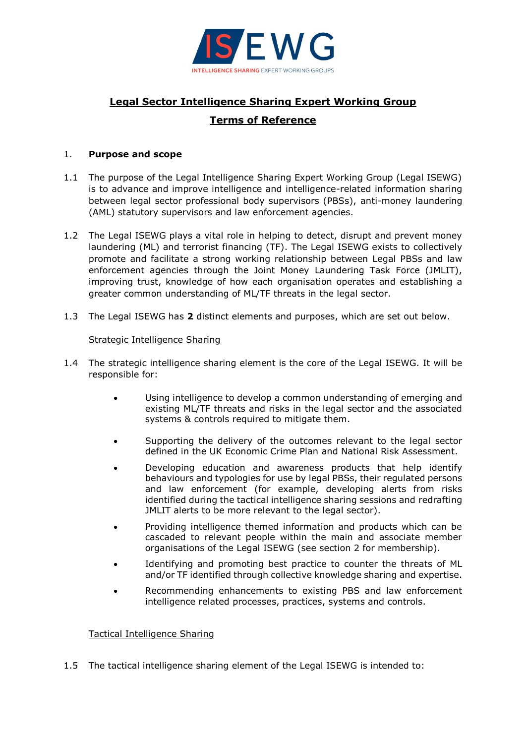

# **Legal Sector Intelligence Sharing Expert Working Group Terms of Reference**

## 1. **Purpose and scope**

- 1.1 The purpose of the Legal Intelligence Sharing Expert Working Group (Legal ISEWG) is to advance and improve intelligence and intelligence-related information sharing between legal sector professional body supervisors (PBSs), anti-money laundering (AML) statutory supervisors and law enforcement agencies.
- 1.2 The Legal ISEWG plays a vital role in helping to detect, disrupt and prevent money laundering (ML) and terrorist financing (TF). The Legal ISEWG exists to collectively promote and facilitate a strong working relationship between Legal PBSs and law enforcement agencies through the Joint Money Laundering Task Force (JMLIT), improving trust, knowledge of how each organisation operates and establishing a greater common understanding of ML/TF threats in the legal sector.
- 1.3 The Legal ISEWG has **2** distinct elements and purposes, which are set out below.

## Strategic Intelligence Sharing

- 1.4 The strategic intelligence sharing element is the core of the Legal ISEWG. It will be responsible for:
	- Using intelligence to develop a common understanding of emerging and existing ML/TF threats and risks in the legal sector and the associated systems & controls required to mitigate them.
	- Supporting the delivery of the outcomes relevant to the legal sector defined in the UK Economic Crime Plan and National Risk Assessment.
	- Developing education and awareness products that help identify behaviours and typologies for use by legal PBSs, their regulated persons and law enforcement (for example, developing alerts from risks identified during the tactical intelligence sharing sessions and redrafting JMLIT alerts to be more relevant to the legal sector).
	- Providing intelligence themed information and products which can be cascaded to relevant people within the main and associate member organisations of the Legal ISEWG (see section 2 for membership).
	- Identifying and promoting best practice to counter the threats of ML and/or TF identified through collective knowledge sharing and expertise.
	- Recommending enhancements to existing PBS and law enforcement intelligence related processes, practices, systems and controls.

## Tactical Intelligence Sharing

1.5 The tactical intelligence sharing element of the Legal ISEWG is intended to: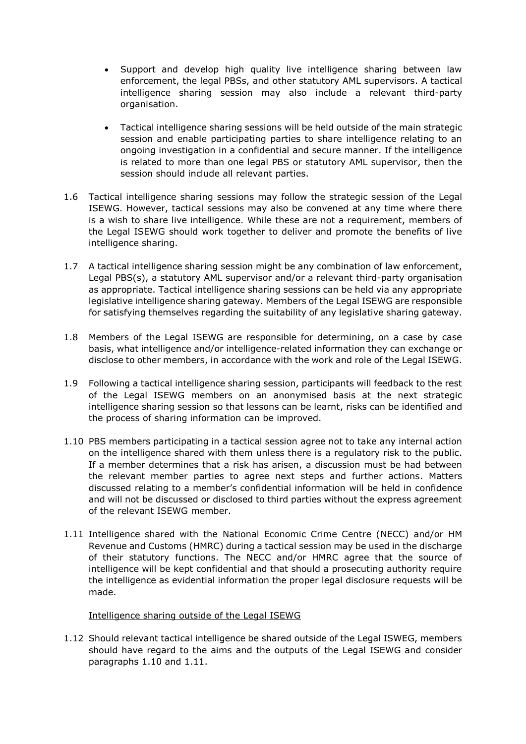- Support and develop high quality live intelligence sharing between law enforcement, the legal PBSs, and other statutory AML supervisors. A tactical intelligence sharing session may also include a relevant third-party organisation.
- Tactical intelligence sharing sessions will be held outside of the main strategic session and enable participating parties to share intelligence relating to an ongoing investigation in a confidential and secure manner. If the intelligence is related to more than one legal PBS or statutory AML supervisor, then the session should include all relevant parties.
- 1.6 Tactical intelligence sharing sessions may follow the strategic session of the Legal ISEWG. However, tactical sessions may also be convened at any time where there is a wish to share live intelligence. While these are not a requirement, members of the Legal ISEWG should work together to deliver and promote the benefits of live intelligence sharing.
- 1.7 A tactical intelligence sharing session might be any combination of law enforcement, Legal PBS(s), a statutory AML supervisor and/or a relevant third-party organisation as appropriate. Tactical intelligence sharing sessions can be held via any appropriate legislative intelligence sharing gateway. Members of the Legal ISEWG are responsible for satisfying themselves regarding the suitability of any legislative sharing gateway.
- 1.8 Members of the Legal ISEWG are responsible for determining, on a case by case basis, what intelligence and/or intelligence-related information they can exchange or disclose to other members, in accordance with the work and role of the Legal ISEWG.
- 1.9 Following a tactical intelligence sharing session, participants will feedback to the rest of the Legal ISEWG members on an anonymised basis at the next strategic intelligence sharing session so that lessons can be learnt, risks can be identified and the process of sharing information can be improved.
- 1.10 PBS members participating in a tactical session agree not to take any internal action on the intelligence shared with them unless there is a regulatory risk to the public. If a member determines that a risk has arisen, a discussion must be had between the relevant member parties to agree next steps and further actions. Matters discussed relating to a member's confidential information will be held in confidence and will not be discussed or disclosed to third parties without the express agreement of the relevant ISEWG member.
- 1.11 Intelligence shared with the National Economic Crime Centre (NECC) and/or HM Revenue and Customs (HMRC) during a tactical session may be used in the discharge of their statutory functions. The NECC and/or HMRC agree that the source of intelligence will be kept confidential and that should a prosecuting authority require the intelligence as evidential information the proper legal disclosure requests will be made.

#### Intelligence sharing outside of the Legal ISEWG

1.12 Should relevant tactical intelligence be shared outside of the Legal ISWEG, members should have regard to the aims and the outputs of the Legal ISEWG and consider paragraphs 1.10 and 1.11.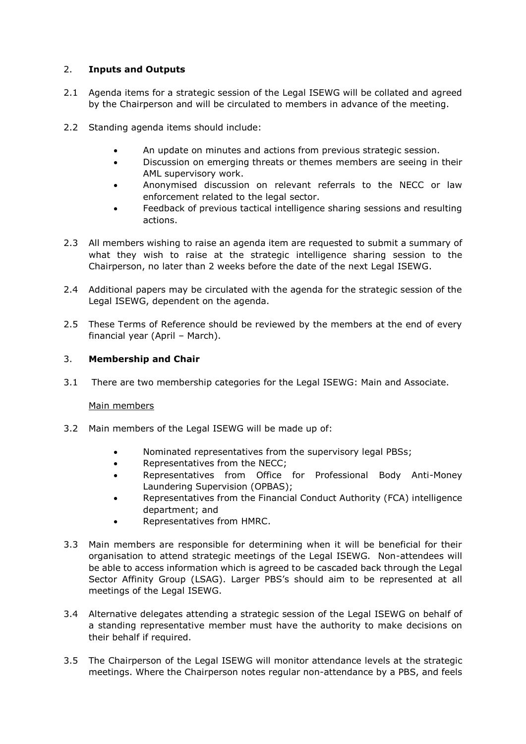# 2. **Inputs and Outputs**

- 2.1 Agenda items for a strategic session of the Legal ISEWG will be collated and agreed by the Chairperson and will be circulated to members in advance of the meeting.
- 2.2 Standing agenda items should include:
	- An update on minutes and actions from previous strategic session.
	- Discussion on emerging threats or themes members are seeing in their AML supervisory work.
	- Anonymised discussion on relevant referrals to the NECC or law enforcement related to the legal sector.
	- Feedback of previous tactical intelligence sharing sessions and resulting actions.
- 2.3 All members wishing to raise an agenda item are requested to submit a summary of what they wish to raise at the strategic intelligence sharing session to the Chairperson, no later than 2 weeks before the date of the next Legal ISEWG.
- 2.4 Additional papers may be circulated with the agenda for the strategic session of the Legal ISEWG, dependent on the agenda.
- 2.5 These Terms of Reference should be reviewed by the members at the end of every financial year (April – March).

## 3. **Membership and Chair**

3.1 There are two membership categories for the Legal ISEWG: Main and Associate.

# Main members

- 3.2 Main members of the Legal ISEWG will be made up of:
	- Nominated representatives from the supervisory legal PBSs;
	- Representatives from the NECC;
	- Representatives from Office for Professional Body Anti-Money Laundering Supervision (OPBAS);
	- Representatives from the Financial Conduct Authority (FCA) intelligence department; and
	- Representatives from HMRC.
- 3.3 Main members are responsible for determining when it will be beneficial for their organisation to attend strategic meetings of the Legal ISEWG. Non-attendees will be able to access information which is agreed to be cascaded back through the Legal Sector Affinity Group (LSAG). Larger PBS's should aim to be represented at all meetings of the Legal ISEWG.
- 3.4 Alternative delegates attending a strategic session of the Legal ISEWG on behalf of a standing representative member must have the authority to make decisions on their behalf if required.
- 3.5 The Chairperson of the Legal ISEWG will monitor attendance levels at the strategic meetings. Where the Chairperson notes regular non-attendance by a PBS, and feels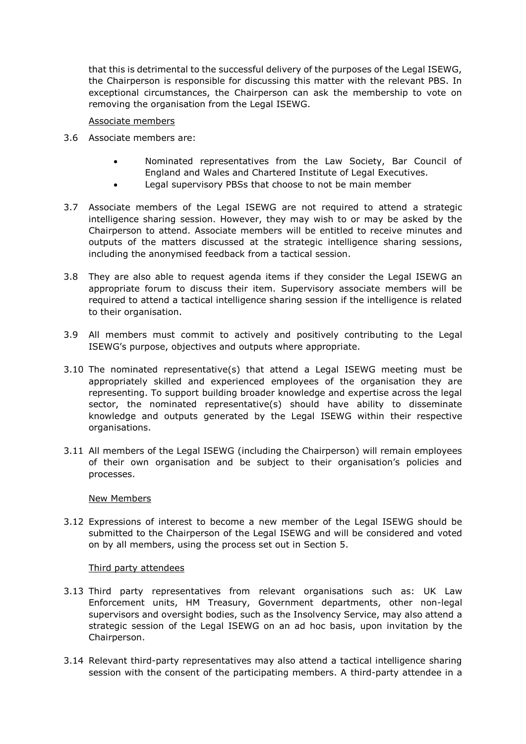that this is detrimental to the successful delivery of the purposes of the Legal ISEWG, the Chairperson is responsible for discussing this matter with the relevant PBS. In exceptional circumstances, the Chairperson can ask the membership to vote on removing the organisation from the Legal ISEWG.

## Associate members

- 3.6 Associate members are:
	- Nominated representatives from the Law Society, Bar Council of England and Wales and Chartered Institute of Legal Executives.
	- Legal supervisory PBSs that choose to not be main member
- 3.7 Associate members of the Legal ISEWG are not required to attend a strategic intelligence sharing session. However, they may wish to or may be asked by the Chairperson to attend. Associate members will be entitled to receive minutes and outputs of the matters discussed at the strategic intelligence sharing sessions, including the anonymised feedback from a tactical session.
- 3.8 They are also able to request agenda items if they consider the Legal ISEWG an appropriate forum to discuss their item. Supervisory associate members will be required to attend a tactical intelligence sharing session if the intelligence is related to their organisation.
- 3.9 All members must commit to actively and positively contributing to the Legal ISEWG's purpose, objectives and outputs where appropriate.
- 3.10 The nominated representative(s) that attend a Legal ISEWG meeting must be appropriately skilled and experienced employees of the organisation they are representing. To support building broader knowledge and expertise across the legal sector, the nominated representative(s) should have ability to disseminate knowledge and outputs generated by the Legal ISEWG within their respective organisations.
- 3.11 All members of the Legal ISEWG (including the Chairperson) will remain employees of their own organisation and be subject to their organisation's policies and processes.

#### New Members

3.12 Expressions of interest to become a new member of the Legal ISEWG should be submitted to the Chairperson of the Legal ISEWG and will be considered and voted on by all members, using the process set out in Section 5.

#### Third party attendees

- 3.13 Third party representatives from relevant organisations such as: UK Law Enforcement units, HM Treasury, Government departments, other non-legal supervisors and oversight bodies, such as the Insolvency Service, may also attend a strategic session of the Legal ISEWG on an ad hoc basis, upon invitation by the Chairperson.
- 3.14 Relevant third-party representatives may also attend a tactical intelligence sharing session with the consent of the participating members. A third-party attendee in a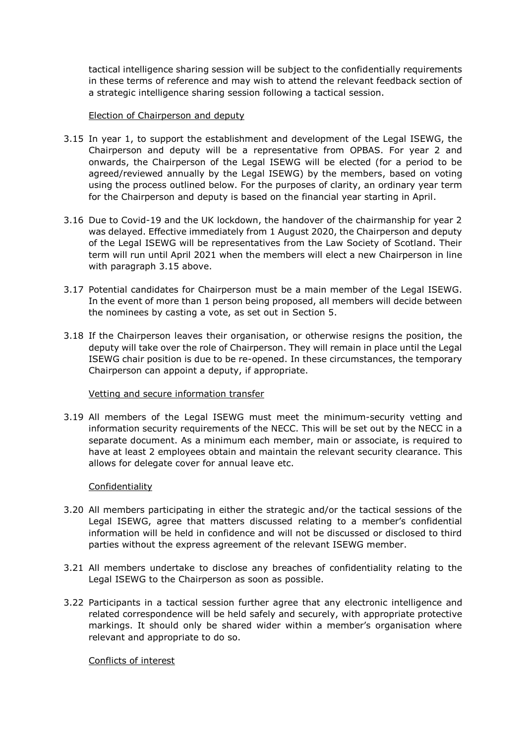tactical intelligence sharing session will be subject to the confidentially requirements in these terms of reference and may wish to attend the relevant feedback section of a strategic intelligence sharing session following a tactical session.

## Election of Chairperson and deputy

- 3.15 In year 1, to support the establishment and development of the Legal ISEWG, the Chairperson and deputy will be a representative from OPBAS. For year 2 and onwards, the Chairperson of the Legal ISEWG will be elected (for a period to be agreed/reviewed annually by the Legal ISEWG) by the members, based on voting using the process outlined below. For the purposes of clarity, an ordinary year term for the Chairperson and deputy is based on the financial year starting in April.
- 3.16 Due to Covid-19 and the UK lockdown, the handover of the chairmanship for year 2 was delayed. Effective immediately from 1 August 2020, the Chairperson and deputy of the Legal ISEWG will be representatives from the Law Society of Scotland. Their term will run until April 2021 when the members will elect a new Chairperson in line with paragraph 3.15 above.
- 3.17 Potential candidates for Chairperson must be a main member of the Legal ISEWG. In the event of more than 1 person being proposed, all members will decide between the nominees by casting a vote, as set out in Section 5.
- 3.18 If the Chairperson leaves their organisation, or otherwise resigns the position, the deputy will take over the role of Chairperson. They will remain in place until the Legal ISEWG chair position is due to be re-opened. In these circumstances, the temporary Chairperson can appoint a deputy, if appropriate.

#### Vetting and secure information transfer

3.19 All members of the Legal ISEWG must meet the minimum-security vetting and information security requirements of the NECC. This will be set out by the NECC in a separate document. As a minimum each member, main or associate, is required to have at least 2 employees obtain and maintain the relevant security clearance. This allows for delegate cover for annual leave etc.

## Confidentiality

- 3.20 All members participating in either the strategic and/or the tactical sessions of the Legal ISEWG, agree that matters discussed relating to a member's confidential information will be held in confidence and will not be discussed or disclosed to third parties without the express agreement of the relevant ISEWG member.
- 3.21 All members undertake to disclose any breaches of confidentiality relating to the Legal ISEWG to the Chairperson as soon as possible.
- 3.22 Participants in a tactical session further agree that any electronic intelligence and related correspondence will be held safely and securely, with appropriate protective markings. It should only be shared wider within a member's organisation where relevant and appropriate to do so.

## Conflicts of interest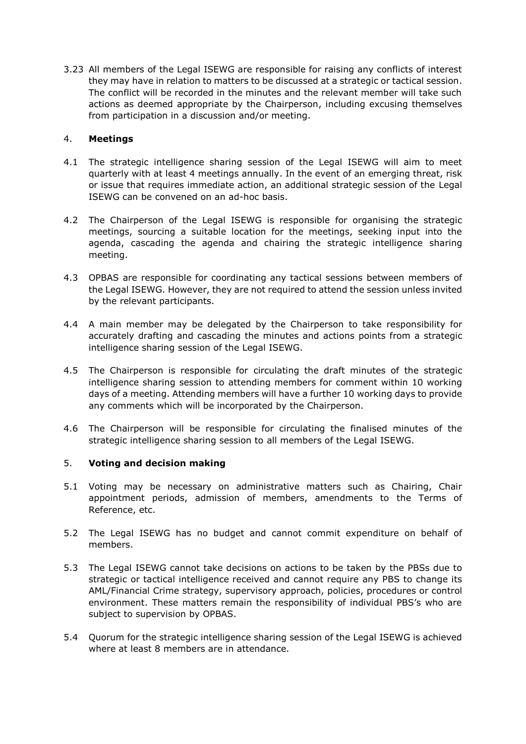3.23 All members of the Legal ISEWG are responsible for raising any conflicts of interest they may have in relation to matters to be discussed at a strategic or tactical session. The conflict will be recorded in the minutes and the relevant member will take such actions as deemed appropriate by the Chairperson, including excusing themselves from participation in a discussion and/or meeting.

# 4. **Meetings**

- 4.1 The strategic intelligence sharing session of the Legal ISEWG will aim to meet quarterly with at least 4 meetings annually. In the event of an emerging threat, risk or issue that requires immediate action, an additional strategic session of the Legal ISEWG can be convened on an ad-hoc basis.
- 4.2 The Chairperson of the Legal ISEWG is responsible for organising the strategic meetings, sourcing a suitable location for the meetings, seeking input into the agenda, cascading the agenda and chairing the strategic intelligence sharing meeting.
- 4.3 OPBAS are responsible for coordinating any tactical sessions between members of the Legal ISEWG. However, they are not required to attend the session unless invited by the relevant participants.
- 4.4 A main member may be delegated by the Chairperson to take responsibility for accurately drafting and cascading the minutes and actions points from a strategic intelligence sharing session of the Legal ISEWG.
- 4.5 The Chairperson is responsible for circulating the draft minutes of the strategic intelligence sharing session to attending members for comment within 10 working days of a meeting. Attending members will have a further 10 working days to provide any comments which will be incorporated by the Chairperson.
- 4.6 The Chairperson will be responsible for circulating the finalised minutes of the strategic intelligence sharing session to all members of the Legal ISEWG.

## 5. **Voting and decision making**

- 5.1 Voting may be necessary on administrative matters such as Chairing, Chair appointment periods, admission of members, amendments to the Terms of Reference, etc.
- 5.2 The Legal ISEWG has no budget and cannot commit expenditure on behalf of members.
- 5.3 The Legal ISEWG cannot take decisions on actions to be taken by the PBSs due to strategic or tactical intelligence received and cannot require any PBS to change its AML/Financial Crime strategy, supervisory approach, policies, procedures or control environment. These matters remain the responsibility of individual PBS's who are subject to supervision by OPBAS.
- 5.4 Quorum for the strategic intelligence sharing session of the Legal ISEWG is achieved where at least 8 members are in attendance